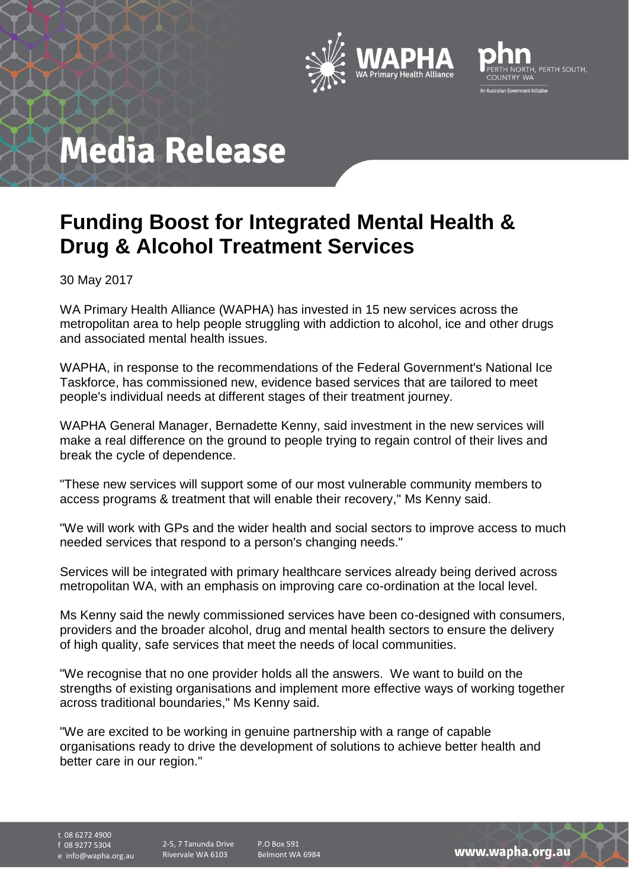



### **Funding Boost for Integrated Mental Health & Drug & Alcohol Treatment Services**

30 May 2017

WA Primary Health Alliance (WAPHA) has invested in 15 new services across the metropolitan area to help people struggling with addiction to alcohol, ice and other drugs and associated mental health issues.

WAPHA, in response to the recommendations of the Federal Government's National Ice Taskforce, has commissioned new, evidence based services that are tailored to meet people's individual needs at different stages of their treatment journey.

WAPHA General Manager, Bernadette Kenny, said investment in the new services will make a real difference on the ground to people trying to regain control of their lives and break the cycle of dependence.

"These new services will support some of our most vulnerable community members to access programs & treatment that will enable their recovery," Ms Kenny said.

"We will work with GPs and the wider health and social sectors to improve access to much needed services that respond to a person's changing needs."

Services will be integrated with primary healthcare services already being derived across metropolitan WA, with an emphasis on improving care co-ordination at the local level.

Ms Kenny said the newly commissioned services have been co-designed with consumers, providers and the broader alcohol, drug and mental health sectors to ensure the delivery of high quality, safe services that meet the needs of local communities.

"We recognise that no one provider holds all the answers. We want to build on the strengths of existing organisations and implement more effective ways of working together across traditional boundaries," Ms Kenny said.

"We are excited to be working in genuine partnership with a range of capable organisations ready to drive the development of solutions to achieve better health and better care in our region."

t 08 6272 4900 f 08 9277 5304

e info@wapha.org.au

P.O Box 591 Belmont WA 6984

www.wapha.org.au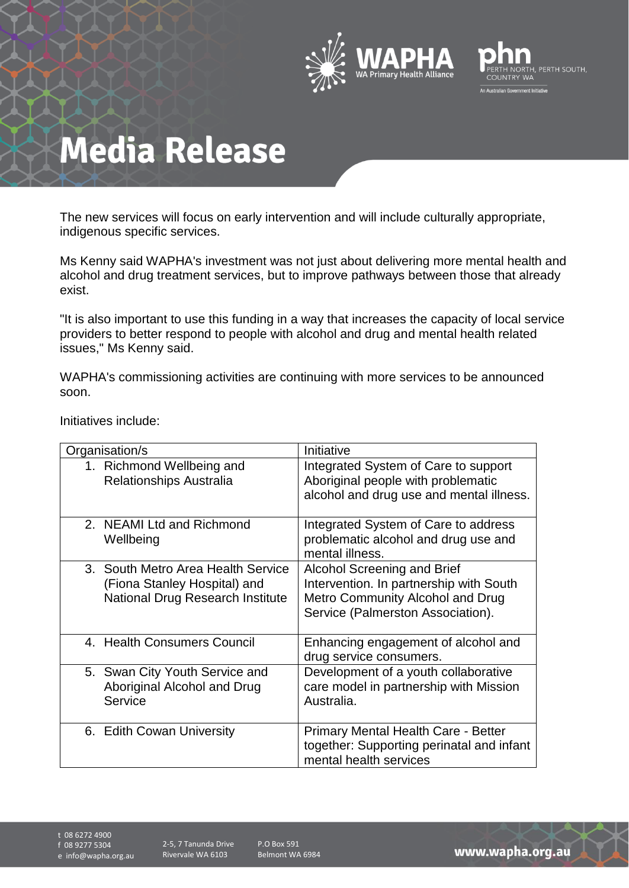



The new services will focus on early intervention and will include culturally appropriate, indigenous specific services.

Ms Kenny said WAPHA's investment was not just about delivering more mental health and alcohol and drug treatment services, but to improve pathways between those that already exist.

"It is also important to use this funding in a way that increases the capacity of local service providers to better respond to people with alcohol and drug and mental health related issues," Ms Kenny said.

WAPHA's commissioning activities are continuing with more services to be announced soon.

Initiatives include:

| Organisation/s                                                                                                | Initiative                                                                                                                                             |
|---------------------------------------------------------------------------------------------------------------|--------------------------------------------------------------------------------------------------------------------------------------------------------|
| 1. Richmond Wellbeing and<br><b>Relationships Australia</b>                                                   | Integrated System of Care to support<br>Aboriginal people with problematic<br>alcohol and drug use and mental illness.                                 |
| 2. NEAMI Ltd and Richmond<br>Wellbeing                                                                        | Integrated System of Care to address<br>problematic alcohol and drug use and<br>mental illness.                                                        |
| 3. South Metro Area Health Service<br>(Fiona Stanley Hospital) and<br><b>National Drug Research Institute</b> | <b>Alcohol Screening and Brief</b><br>Intervention. In partnership with South<br>Metro Community Alcohol and Drug<br>Service (Palmerston Association). |
| 4. Health Consumers Council                                                                                   | Enhancing engagement of alcohol and<br>drug service consumers.                                                                                         |
| 5. Swan City Youth Service and<br>Aboriginal Alcohol and Drug<br>Service                                      | Development of a youth collaborative<br>care model in partnership with Mission<br>Australia.                                                           |
| 6. Edith Cowan University                                                                                     | <b>Primary Mental Health Care - Better</b><br>together: Supporting perinatal and infant<br>mental health services                                      |

t 08 6272 4900

f 08 9277 5304

e info@wapha.org.au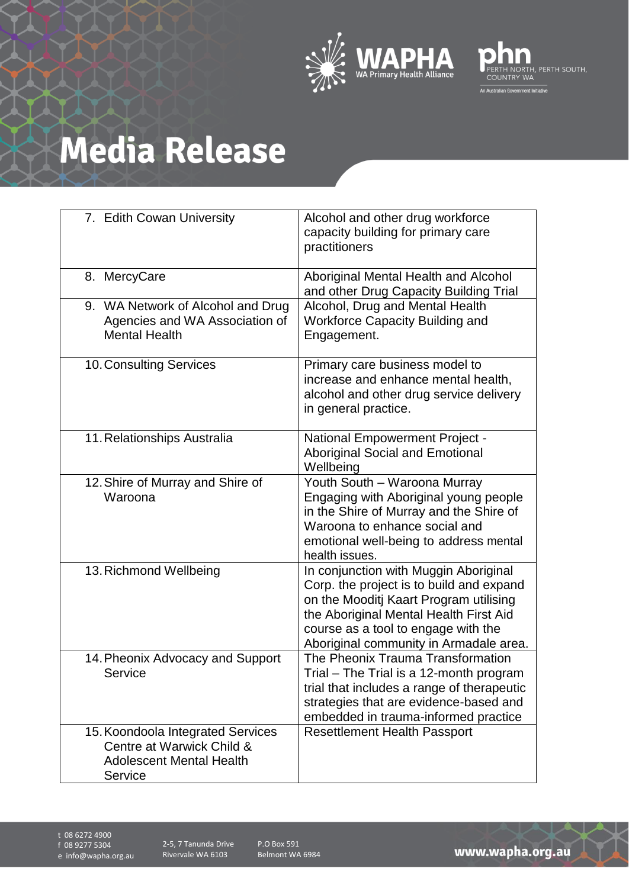



| 7. Edith Cowan University                                                                                    | Alcohol and other drug workforce<br>capacity building for primary care<br>practitioners                                                                                                                                                                |
|--------------------------------------------------------------------------------------------------------------|--------------------------------------------------------------------------------------------------------------------------------------------------------------------------------------------------------------------------------------------------------|
| 8. MercyCare                                                                                                 | Aboriginal Mental Health and Alcohol<br>and other Drug Capacity Building Trial                                                                                                                                                                         |
| 9. WA Network of Alcohol and Drug<br>Agencies and WA Association of<br><b>Mental Health</b>                  | Alcohol, Drug and Mental Health<br><b>Workforce Capacity Building and</b><br>Engagement.                                                                                                                                                               |
| 10. Consulting Services                                                                                      | Primary care business model to<br>increase and enhance mental health,<br>alcohol and other drug service delivery<br>in general practice.                                                                                                               |
| 11. Relationships Australia                                                                                  | <b>National Empowerment Project -</b><br><b>Aboriginal Social and Emotional</b><br>Wellbeing                                                                                                                                                           |
| 12. Shire of Murray and Shire of<br>Waroona                                                                  | Youth South - Waroona Murray<br>Engaging with Aboriginal young people<br>in the Shire of Murray and the Shire of<br>Waroona to enhance social and<br>emotional well-being to address mental<br>health issues.                                          |
| 13. Richmond Wellbeing                                                                                       | In conjunction with Muggin Aboriginal<br>Corp. the project is to build and expand<br>on the Mooditj Kaart Program utilising<br>the Aboriginal Mental Health First Aid<br>course as a tool to engage with the<br>Aboriginal community in Armadale area. |
| 14. Pheonix Advocacy and Support<br>Service                                                                  | The Pheonix Trauma Transformation<br>Trial - The Trial is a 12-month program<br>trial that includes a range of therapeutic<br>strategies that are evidence-based and<br>embedded in trauma-informed practice                                           |
| 15. Koondoola Integrated Services<br>Centre at Warwick Child &<br><b>Adolescent Mental Health</b><br>Service | <b>Resettlement Health Passport</b>                                                                                                                                                                                                                    |

t 08 6272 4900

f 08 9277 5304

e info@wapha.org.au

P.O Box 591 Belmont WA 6984

www.wapha.org.au